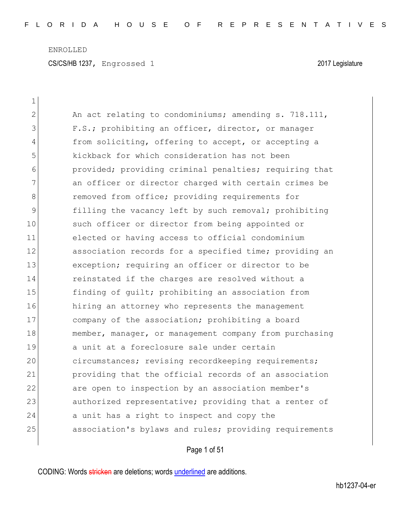| $\mathbf 1$  |                                                        |
|--------------|--------------------------------------------------------|
| $\mathbf{2}$ | An act relating to condominiums; amending s. 718.111,  |
| 3            | F.S.; prohibiting an officer, director, or manager     |
| 4            | from soliciting, offering to accept, or accepting a    |
| 5            | kickback for which consideration has not been          |
| 6            | provided; providing criminal penalties; requiring that |
| 7            | an officer or director charged with certain crimes be  |
| $8\,$        | removed from office; providing requirements for        |
| $\mathsf 9$  | filling the vacancy left by such removal; prohibiting  |
| 10           | such officer or director from being appointed or       |
| 11           | elected or having access to official condominium       |
| 12           | association records for a specified time; providing an |
| 13           | exception; requiring an officer or director to be      |
| 14           | reinstated if the charges are resolved without a       |
| 15           | finding of quilt; prohibiting an association from      |
| 16           | hiring an attorney who represents the management       |
| 17           | company of the association; prohibiting a board        |
| 18           | member, manager, or management company from purchasing |
| 19           | a unit at a foreclosure sale under certain             |
| 20           | circumstances; revising recordkeeping requirements;    |
| 21           | providing that the official records of an association  |
| 22           | are open to inspection by an association member's      |
| 23           | authorized representative; providing that a renter of  |
| 24           | a unit has a right to inspect and copy the             |
| 25           | association's bylaws and rules; providing requirements |
|              |                                                        |

Page 1 of 51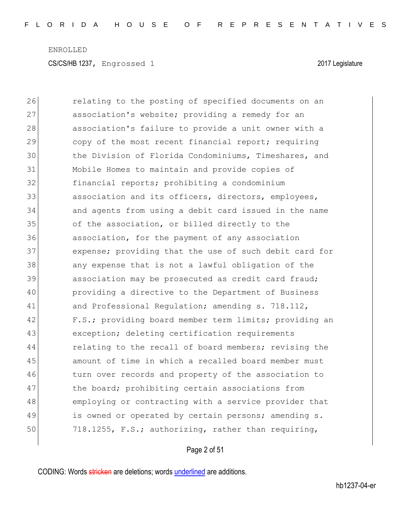26 **relating to the posting of specified documents on an** 27 association's website; providing a remedy for an 28 association's failure to provide a unit owner with a 29 copy of the most recent financial report; requiring 30 the Division of Florida Condominiums, Timeshares, and 31 Mobile Homes to maintain and provide copies of 32 financial reports; prohibiting a condominium 33 association and its officers, directors, employees, 34 and agents from using a debit card issued in the name 35 of the association, or billed directly to the 36 association, for the payment of any association 37 expense; providing that the use of such debit card for 38 any expense that is not a lawful obligation of the 39 association may be prosecuted as credit card fraud; 40 providing a directive to the Department of Business 41 and Professional Regulation; amending s. 718.112, 42 F.S.; providing board member term limits; providing an 43 exception; deleting certification requirements 44 relating to the recall of board members; revising the 45 amount of time in which a recalled board member must 46 turn over records and property of the association to 47 (a) the board; prohibiting certain associations from 48 employing or contracting with a service provider that 49 is owned or operated by certain persons; amending s. 50 718.1255, F.S.; authorizing, rather than requiring,

Page 2 of 51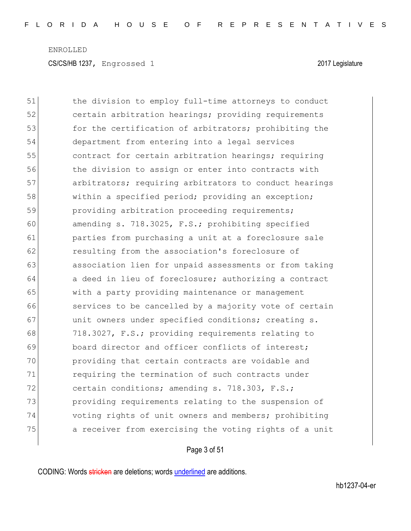51 the division to employ full-time attorneys to conduct 52 certain arbitration hearings; providing requirements 53 for the certification of arbitrators; prohibiting the 54 department from entering into a legal services 55 **contract for certain arbitration hearings; requiring** 56 the division to assign or enter into contracts with 57 **arbitrators;** requiring arbitrators to conduct hearings 58 within a specified period; providing an exception; 59 providing arbitration proceeding requirements; 60 amending s. 718.3025, F.S.; prohibiting specified 61 parties from purchasing a unit at a foreclosure sale 62 resulting from the association's foreclosure of 63 association lien for unpaid assessments or from taking 64 a deed in lieu of foreclosure; authorizing a contract 65 with a party providing maintenance or management 66 services to be cancelled by a majority vote of certain 67 and the value of the conditions; creating s. 68 718.3027, F.S.; providing requirements relating to 69 board director and officer conflicts of interest; 70 providing that certain contracts are voidable and 71 requiring the termination of such contracts under 72 certain conditions; amending s. 718.303, F.S.; 73 providing requirements relating to the suspension of 74 voting rights of unit owners and members; prohibiting 75 a receiver from exercising the voting rights of a unit

Page 3 of 51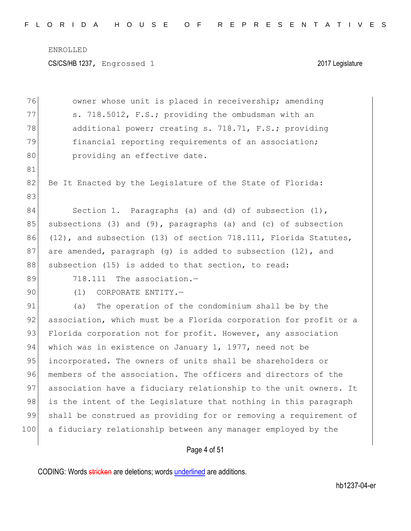CS/CS/HB 1237, Engrossed 1 2017 Legislature

| 76  | owner whose unit is placed in receivership; amending             |
|-----|------------------------------------------------------------------|
| 77  | s. 718.5012, F.S.; providing the ombudsman with an               |
| 78  | additional power; creating s. 718.71, F.S.; providing            |
| 79  | financial reporting requirements of an association;              |
| 80  | providing an effective date.                                     |
| 81  |                                                                  |
| 82  | Be It Enacted by the Legislature of the State of Florida:        |
| 83  |                                                                  |
| 84  | Section 1. Paragraphs (a) and (d) of subsection $(1)$ ,          |
| 85  | subsections (3) and (9), paragraphs (a) and (c) of subsection    |
| 86  | (12), and subsection (13) of section 718.111, Florida Statutes,  |
| 87  | are amended, paragraph (g) is added to subsection (12), and      |
| 88  | subsection (15) is added to that section, to read:               |
| 89  | 718.111 The association.-                                        |
| 90  | (1)<br>CORPORATE ENTITY.-                                        |
| 91  | The operation of the condominium shall be by the<br>(a)          |
| 92  | association, which must be a Florida corporation for profit or a |
| 93  | Florida corporation not for profit. However, any association     |
| 94  | which was in existence on January 1, 1977, need not be           |
| 95  | incorporated. The owners of units shall be shareholders or       |
| 96  | members of the association. The officers and directors of the    |
| 97  | association have a fiduciary relationship to the unit owners. It |
| 98  | is the intent of the Legislature that nothing in this paragraph  |
| 99  | shall be construed as providing for or removing a requirement of |
| 100 | a fiduciary relationship between any manager employed by the     |
|     |                                                                  |

Page 4 of 51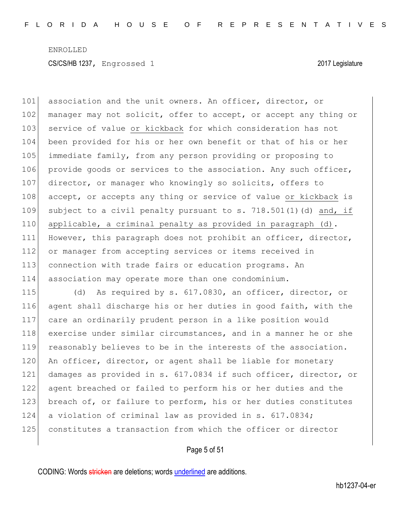101 association and the unit owners. An officer, director, or 102 manager may not solicit, offer to accept, or accept any thing or 103 service of value or kickback for which consideration has not 104 been provided for his or her own benefit or that of his or her 105 immediate family, from any person providing or proposing to 106 provide goods or services to the association. Any such officer, 107 director, or manager who knowingly so solicits, offers to 108 accept, or accepts any thing or service of value or kickback is 109 subject to a civil penalty pursuant to s.  $718.501(1)(d)$  and, if 110 applicable, a criminal penalty as provided in paragraph (d). 111 However, this paragraph does not prohibit an officer, director, 112 or manager from accepting services or items received in 113 connection with trade fairs or education programs. An 114 association may operate more than one condominium.

115 (d) As required by s. 617.0830, an officer, director, or 116 agent shall discharge his or her duties in good faith, with the 117 care an ordinarily prudent person in a like position would 118 exercise under similar circumstances, and in a manner he or she 119 reasonably believes to be in the interests of the association. 120 An officer, director, or agent shall be liable for monetary 121 damages as provided in s. 617.0834 if such officer, director, or 122 agent breached or failed to perform his or her duties and the 123 breach of, or failure to perform, his or her duties constitutes 124 a violation of criminal law as provided in s. 617.0834; 125 constitutes a transaction from which the officer or director

#### Page 5 of 51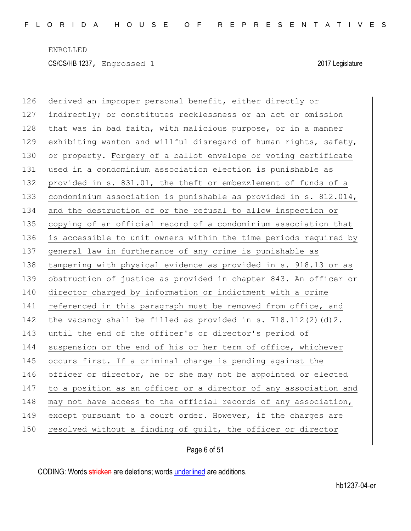126 derived an improper personal benefit, either directly or 127 indirectly; or constitutes recklessness or an act or omission 128 that was in bad faith, with malicious purpose, or in a manner 129 exhibiting wanton and willful disregard of human rights, safety, 130 or property. Forgery of a ballot envelope or voting certificate 131 used in a condominium association election is punishable as 132 provided in s. 831.01, the theft or embezzlement of funds of a 133 condominium association is punishable as provided in s. 812.014, 134 and the destruction of or the refusal to allow inspection or 135 copying of an official record of a condominium association that 136 is accessible to unit owners within the time periods required by 137 general law in furtherance of any crime is punishable as 138 tampering with physical evidence as provided in s. 918.13 or as 139 obstruction of justice as provided in chapter 843. An officer or 140 director charged by information or indictment with a crime 141 referenced in this paragraph must be removed from office, and 142 the vacancy shall be filled as provided in s.  $718.112(2)(d)2$ . 143 until the end of the officer's or director's period of 144 suspension or the end of his or her term of office, whichever 145 occurs first. If a criminal charge is pending against the 146 officer or director, he or she may not be appointed or elected 147 to a position as an officer or a director of any association and 148 may not have access to the official records of any association, 149 except pursuant to a court order. However, if the charges are 150 resolved without a finding of quilt, the officer or director

Page 6 of 51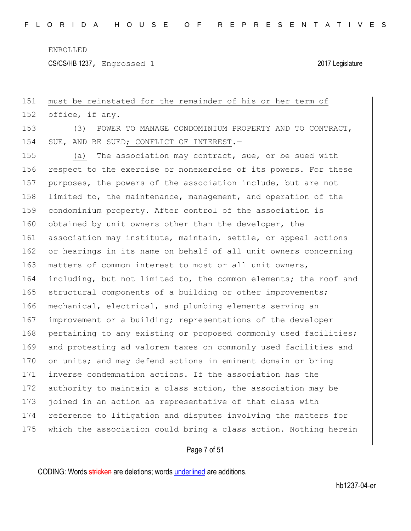CS/CS/HB 1237, Engrossed 1 2017 Legislature

# Page 7 of 51 151 must be reinstated for the remainder of his or her term of 152 office, if any. 153 (3) POWER TO MANAGE CONDOMINIUM PROPERTY AND TO CONTRACT, 154 SUE, AND BE SUED; CONFLICT OF INTEREST.-155 (a) The association may contract, sue, or be sued with 156 respect to the exercise or nonexercise of its powers. For these 157 purposes, the powers of the association include, but are not 158 limited to, the maintenance, management, and operation of the 159 condominium property. After control of the association is 160 obtained by unit owners other than the developer, the 161 association may institute, maintain, settle, or appeal actions 162 or hearings in its name on behalf of all unit owners concerning 163 matters of common interest to most or all unit owners, 164 including, but not limited to, the common elements; the roof and 165 structural components of a building or other improvements; 166 mechanical, electrical, and plumbing elements serving an 167 improvement or a building; representations of the developer 168 pertaining to any existing or proposed commonly used facilities; 169 and protesting ad valorem taxes on commonly used facilities and 170 on units; and may defend actions in eminent domain or bring 171 inverse condemnation actions. If the association has the 172 authority to maintain a class action, the association may be 173 joined in an action as representative of that class with 174 reference to litigation and disputes involving the matters for 175 which the association could bring a class action. Nothing herein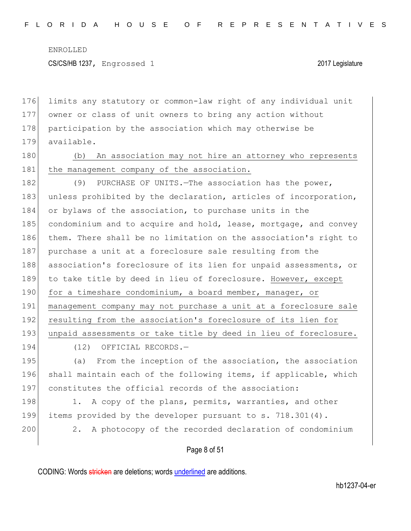CS/CS/HB 1237, Engrossed 1 2017 Legislature

176 limits any statutory or common-law right of any individual unit 177 owner or class of unit owners to bring any action without 178 participation by the association which may otherwise be 179 available.

180 (b) An association may not hire an attorney who represents 181 the management company of the association.

182 (9) PURCHASE OF UNITS. The association has the power, 183 unless prohibited by the declaration, articles of incorporation, 184 or bylaws of the association, to purchase units in the 185 condominium and to acquire and hold, lease, mortgage, and convey 186 them. There shall be no limitation on the association's right to 187 purchase a unit at a foreclosure sale resulting from the 188 association's foreclosure of its lien for unpaid assessments, or 189 to take title by deed in lieu of foreclosure. However, except 190 for a timeshare condominium, a board member, manager, or 191 management company may not purchase a unit at a foreclosure sale 192 resulting from the association's foreclosure of its lien for 193 unpaid assessments or take title by deed in lieu of foreclosure.

194 (12) OFFICIAL RECORDS.-

195 (a) From the inception of the association, the association 196 shall maintain each of the following items, if applicable, which 197 constitutes the official records of the association:

198 1. A copy of the plans, permits, warranties, and other 199 items provided by the developer pursuant to s. 718.301(4).

200 2. A photocopy of the recorded declaration of condominium

Page 8 of 51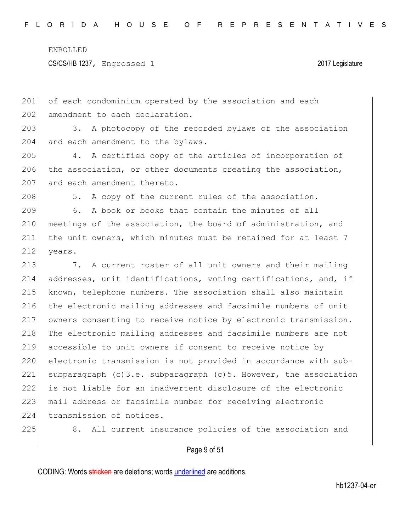CS/CS/HB 1237, Engrossed 1 2017 Legislature

201 of each condominium operated by the association and each 202 amendment to each declaration.

203 3. A photocopy of the recorded bylaws of the association 204 and each amendment to the bylaws.

205 4. A certified copy of the articles of incorporation of 206 the association, or other documents creating the association, 207 and each amendment thereto.

208 5. A copy of the current rules of the association.

209 6. A book or books that contain the minutes of all 210 meetings of the association, the board of administration, and 211 the unit owners, which minutes must be retained for at least 7 212 years.

213 7. A current roster of all unit owners and their mailing 214 addresses, unit identifications, voting certifications, and, if 215 known, telephone numbers. The association shall also maintain 216 the electronic mailing addresses and facsimile numbers of unit 217 owners consenting to receive notice by electronic transmission. 218 The electronic mailing addresses and facsimile numbers are not 219 accessible to unit owners if consent to receive notice by 220 electronic transmission is not provided in accordance with sub-221 subparagraph (c)3.e. subparagraph  $(e)$ 5. However, the association 222 is not liable for an inadvertent disclosure of the electronic 223 | mail address or facsimile number for receiving electronic 224 transmission of notices.

225 8. All current insurance policies of the association and

#### Page 9 of 51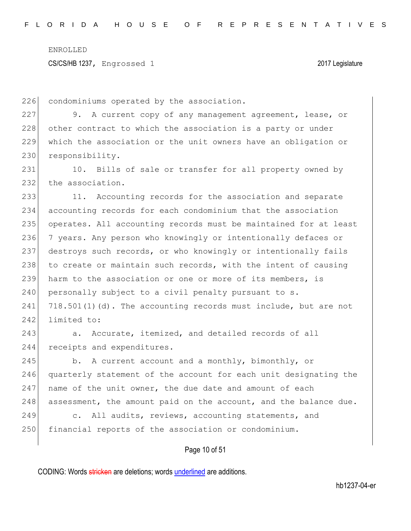226 condominiums operated by the association.

227 9. A current copy of any management agreement, lease, or 228 other contract to which the association is a party or under 229 which the association or the unit owners have an obligation or 230 responsibility.

231 10. Bills of sale or transfer for all property owned by 232 the association.

233 11. Accounting records for the association and separate 234 accounting records for each condominium that the association 235 operates. All accounting records must be maintained for at least 236 7 years. Any person who knowingly or intentionally defaces or 237 destroys such records, or who knowingly or intentionally fails 238 to create or maintain such records, with the intent of causing 239 harm to the association or one or more of its members, is 240 personally subject to a civil penalty pursuant to  $s$ . 241  $718.501(1)(d)$ . The accounting records must include, but are not 242 limited to:

243 a. Accurate, itemized, and detailed records of all 244 receipts and expenditures.

245 b. A current account and a monthly, bimonthly, or 246 quarterly statement of the account for each unit designating the  $247$  name of the unit owner, the due date and amount of each 248 assessment, the amount paid on the account, and the balance due.

249 c. All audits, reviews, accounting statements, and 250 financial reports of the association or condominium.

### Page 10 of 51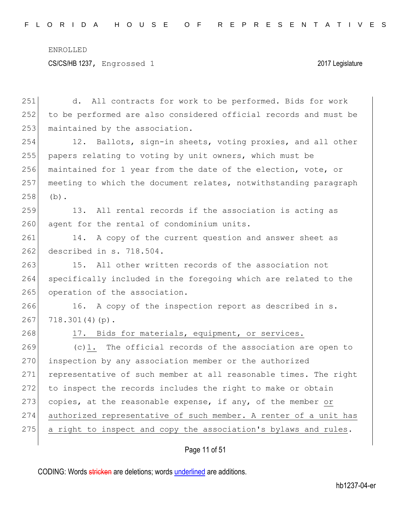#### CS/CS/HB 1237, Engrossed 1 2017 Legislature

251 d. All contracts for work to be performed. Bids for work 252 to be performed are also considered official records and must be 253 maintained by the association. 254 12. Ballots, sign-in sheets, voting proxies, and all other 255 papers relating to voting by unit owners, which must be 256 maintained for 1 year from the date of the election, vote, or 257 meeting to which the document relates, notwithstanding paragraph  $258$  (b). 259 13. All rental records if the association is acting as 260 agent for the rental of condominium units. 261 14. A copy of the current question and answer sheet as 262 described in s. 718.504. 263 15. All other written records of the association not 264 specifically included in the foregoing which are related to the 265 operation of the association. 266 16. A copy of the inspection report as described in s.  $267$  718.301(4)(p). 268 17. Bids for materials, equipment, or services.  $269$  (c)1. The official records of the association are open to 270 inspection by any association member or the authorized 271 representative of such member at all reasonable times. The right 272 to inspect the records includes the right to make or obtain 273 copies, at the reasonable expense, if any, of the member or 274 authorized representative of such member. A renter of a unit has  $275$  a right to inspect and copy the association's bylaws and rules.

#### Page 11 of 51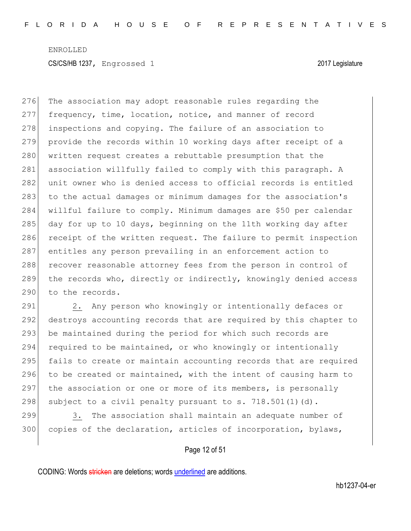276 The association may adopt reasonable rules regarding the 277 frequency, time, location, notice, and manner of record 278 inspections and copying. The failure of an association to 279 provide the records within 10 working days after receipt of a 280 written request creates a rebuttable presumption that the 281 association willfully failed to comply with this paragraph. A 282 unit owner who is denied access to official records is entitled 283 to the actual damages or minimum damages for the association's 284 willful failure to comply. Minimum damages are \$50 per calendar 285 day for up to 10 days, beginning on the 11th working day after 286 receipt of the written request. The failure to permit inspection 287 entitles any person prevailing in an enforcement action to 288 recover reasonable attorney fees from the person in control of 289 the records who, directly or indirectly, knowingly denied access 290 to the records.

291  $\vert$  2. Any person who knowingly or intentionally defaces or 292 destroys accounting records that are required by this chapter to 293 be maintained during the period for which such records are 294 required to be maintained, or who knowingly or intentionally 295 fails to create or maintain accounting records that are required 296 to be created or maintained, with the intent of causing harm to 297 the association or one or more of its members, is personally 298 subject to a civil penalty pursuant to s. 718.501(1)(d).

299 3. The association shall maintain an adequate number of 300 copies of the declaration, articles of incorporation, bylaws,

Page 12 of 51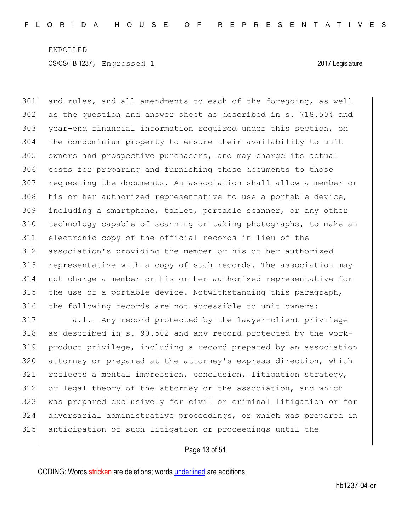and rules, and all amendments to each of the foregoing, as well as the question and answer sheet as described in s. 718.504 and 303 year-end financial information required under this section, on the condominium property to ensure their availability to unit owners and prospective purchasers, and may charge its actual 306 costs for preparing and furnishing these documents to those requesting the documents. An association shall allow a member or 308 his or her authorized representative to use a portable device, including a smartphone, tablet, portable scanner, or any other technology capable of scanning or taking photographs, to make an electronic copy of the official records in lieu of the association's providing the member or his or her authorized representative with a copy of such records. The association may not charge a member or his or her authorized representative for the use of a portable device. Notwithstanding this paragraph, 316 | the following records are not accessible to unit owners:

 a.<del>1.</del> Any record protected by the lawyer-client privilege as described in s. 90.502 and any record protected by the work- product privilege, including a record prepared by an association attorney or prepared at the attorney's express direction, which reflects a mental impression, conclusion, litigation strategy, 322 or legal theory of the attorney or the association, and which was prepared exclusively for civil or criminal litigation or for adversarial administrative proceedings, or which was prepared in anticipation of such litigation or proceedings until the

#### Page 13 of 51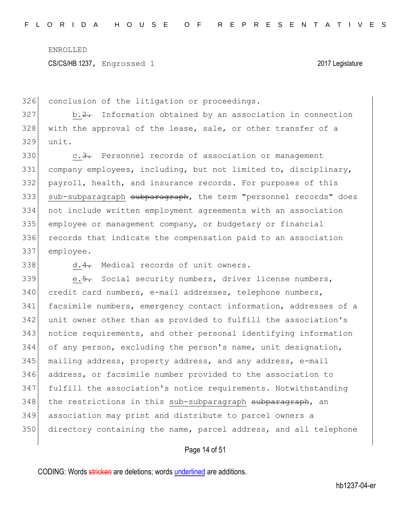326 conclusion of the litigation or proceedings.

 $327$  b.2. Information obtained by an association in connection 328 with the approval of the lease, sale, or other transfer of a 329 unit.

330 c.<del>3.</del> Personnel records of association or management company employees, including, but not limited to, disciplinary, payroll, health, and insurance records. For purposes of this 333 sub-subparagraph subparagraph, the term "personnel records" does not include written employment agreements with an association employee or management company, or budgetary or financial 336 records that indicate the compensation paid to an association employee.

338 d.4. Medical records of unit owners.

339 e.<del>5.</del> Social security numbers, driver license numbers, 340 credit card numbers, e-mail addresses, telephone numbers, facsimile numbers, emergency contact information, addresses of a unit owner other than as provided to fulfill the association's notice requirements, and other personal identifying information of any person, excluding the person's name, unit designation, 345 | mailing address, property address, and any address, e-mail address, or facsimile number provided to the association to fulfill the association's notice requirements. Notwithstanding 348 the restrictions in this sub-subparagraph subparagraph, an association may print and distribute to parcel owners a directory containing the name, parcel address, and all telephone

#### Page 14 of 51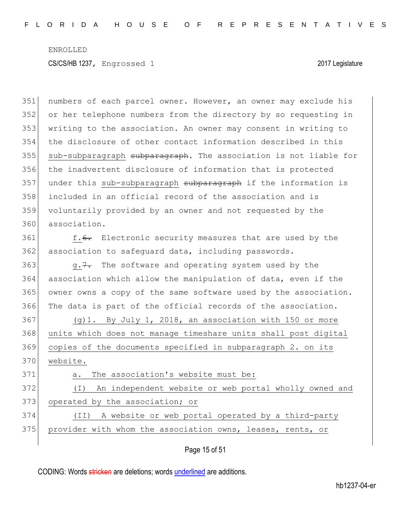351 numbers of each parcel owner. However, an owner may exclude his 352 or her telephone numbers from the directory by so requesting in 353 writing to the association. An owner may consent in writing to 354 the disclosure of other contact information described in this 355 sub-subparagraph subparagraph. The association is not liable for 356 the inadvertent disclosure of information that is protected 357 under this sub-subparagraph subparagraph if the information is 358 included in an official record of the association and is 359 voluntarily provided by an owner and not requested by the 360 association. 361 f.<del>6.</del> Electronic security measures that are used by the 362 association to safeguard data, including passwords. 363  $\sigma$ ,  $\frac{7}{4}$  The software and operating system used by the 364 association which allow the manipulation of data, even if the 365 owner owns a copy of the same software used by the association. 366 The data is part of the official records of the association.  $367$  (g)1. By July 1, 2018, an association with 150 or more 368 units which does not manage timeshare units shall post digital 369 copies of the documents specified in subparagraph 2. on its 370 website.

371 a. The association's website must be: 372 (I) An independent website or web portal wholly owned and

373 operated by the association; or

374 (II) A website or web portal operated by a third-party 375 provider with whom the association owns, leases, rents, or

Page 15 of 51

CODING: Words stricken are deletions; words underlined are additions.

hb1237-04-er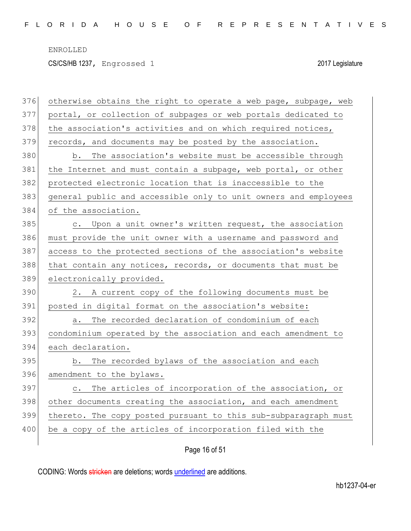CS/CS/HB 1237, Engrossed 1 2017 Legislature

| 376 | otherwise obtains the right to operate a web page, subpage, web        |
|-----|------------------------------------------------------------------------|
| 377 | portal, or collection of subpages or web portals dedicated to          |
| 378 | the association's activities and on which required notices,            |
| 379 | records, and documents may be posted by the association.               |
| 380 | The association's website must be accessible through<br>b.             |
| 381 | the Internet and must contain a subpage, web portal, or other          |
| 382 | protected electronic location that is inaccessible to the              |
| 383 | general public and accessible only to unit owners and employees        |
| 384 | of the association.                                                    |
| 385 | c. Upon a unit owner's written request, the association                |
| 386 | must provide the unit owner with a username and password and           |
| 387 | access to the protected sections of the association's website          |
| 388 | that contain any notices, records, or documents that must be           |
| 389 | electronically provided.                                               |
|     | 2. A current copy of the following documents must be                   |
| 390 |                                                                        |
| 391 | posted in digital format on the association's website:                 |
| 392 | The recorded declaration of condominium of each<br>а.                  |
| 393 | condominium operated by the association and each amendment to          |
| 394 | each declaration.                                                      |
| 395 | The recorded bylaws of the association and each<br>b.                  |
| 396 | amendment to the bylaws.                                               |
| 397 | The articles of incorporation of the association, or<br>$\mathsf{C}$ . |
| 398 | other documents creating the association, and each amendment           |
| 399 | thereto. The copy posted pursuant to this sub-subparagraph must        |
| 400 | be a copy of the articles of incorporation filed with the              |

## Page 16 of 51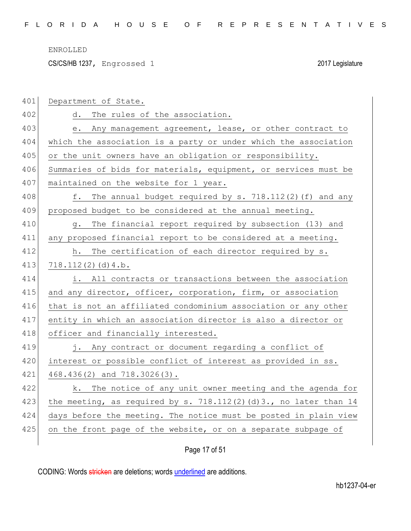CS/CS/HB 1237, Engrossed 1 2017 Legislature

| 401 | Department of State.                                             |
|-----|------------------------------------------------------------------|
| 402 | The rules of the association.<br>d.                              |
| 403 | Any management agreement, lease, or other contract to<br>e.      |
| 404 | which the association is a party or under which the association  |
| 405 | or the unit owners have an obligation or responsibility.         |
| 406 | Summaries of bids for materials, equipment, or services must be  |
| 407 | maintained on the website for 1 year.                            |
| 408 | f. The annual budget required by s. 718.112(2)(f) and any        |
| 409 | proposed budget to be considered at the annual meeting.          |
| 410 | The financial report required by subsection (13) and<br>q.       |
| 411 | any proposed financial report to be considered at a meeting.     |
| 412 | The certification of each director required by s.<br>h.          |
| 413 | 718.112(2)(d)4.b.                                                |
| 414 | i. All contracts or transactions between the association         |
| 415 | and any director, officer, corporation, firm, or association     |
| 416 | that is not an affiliated condominium association or any other   |
| 417 | entity in which an association director is also a director or    |
| 418 | officer and financially interested.                              |
| 419 | j. Any contract or document regarding a conflict of              |
| 420 | interest or possible conflict of interest as provided in ss.     |
| 421 | 468.436(2) and 718.3026(3).                                      |
| 422 | k. The notice of any unit owner meeting and the agenda for       |
| 423 | the meeting, as required by s. 718.112(2)(d)3., no later than 14 |
| 424 | days before the meeting. The notice must be posted in plain view |
| 425 | on the front page of the website, or on a separate subpage of    |
|     |                                                                  |

## Page 17 of 51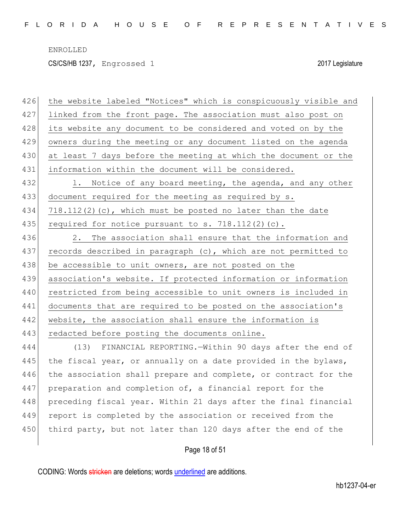CS/CS/HB 1237, Engrossed 1 2017 Legislature

| 426 | the website labeled "Notices" which is conspicuously visible and |
|-----|------------------------------------------------------------------|
| 427 | linked from the front page. The association must also post on    |
| 428 | its website any document to be considered and voted on by the    |
| 429 | owners during the meeting or any document listed on the agenda   |
| 430 | at least 7 days before the meeting at which the document or the  |
| 431 | information within the document will be considered.              |
| 432 | 1. Notice of any board meeting, the agenda, and any other        |
| 433 | document required for the meeting as required by s.              |
| 434 | $718.112(2)$ (c), which must be posted no later than the date    |
| 435 | required for notice pursuant to $s. 718.112(2)(c)$ .             |
| 436 | 2.<br>The association shall ensure that the information and      |
| 437 | records described in paragraph (c), which are not permitted to   |
| 438 | be accessible to unit owners, are not posted on the              |
| 439 | association's website. If protected information or information   |
| 440 | restricted from being accessible to unit owners is included in   |
| 441 | documents that are required to be posted on the association's    |
| 442 | website, the association shall ensure the information is         |
| 443 | redacted before posting the documents online.                    |
| 444 | (13) FINANCIAL REPORTING. Within 90 days after the end of        |
| 445 | the fiscal year, or annually on a date provided in the bylaws,   |
| 446 | the association shall prepare and complete, or contract for the  |
| 447 | preparation and completion of, a financial report for the        |
| 448 | preceding fiscal year. Within 21 days after the final financial  |
| 449 | report is completed by the association or received from the      |
| 450 | third party, but not later than 120 days after the end of the    |
|     | Page 18 of 51                                                    |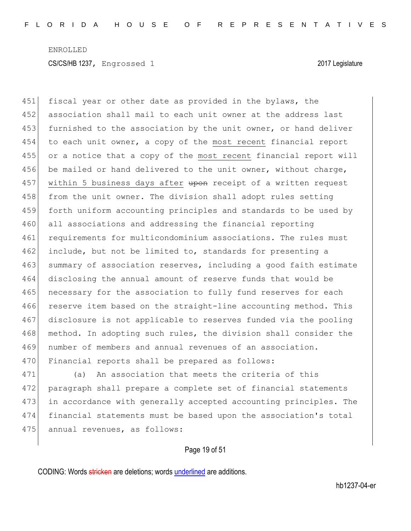451 fiscal year or other date as provided in the bylaws, the 452 association shall mail to each unit owner at the address last 453 furnished to the association by the unit owner, or hand deliver 454 to each unit owner, a copy of the most recent financial report 455 or a notice that a copy of the most recent financial report will 456 be mailed or hand delivered to the unit owner, without charge, 457 within 5 business days after upon receipt of a written request 458 from the unit owner. The division shall adopt rules setting 459 forth uniform accounting principles and standards to be used by 460 all associations and addressing the financial reporting 461 requirements for multicondominium associations. The rules must 462 include, but not be limited to, standards for presenting a 463 summary of association reserves, including a good faith estimate 464 disclosing the annual amount of reserve funds that would be 465 necessary for the association to fully fund reserves for each 466 reserve item based on the straight-line accounting method. This 467 disclosure is not applicable to reserves funded via the pooling 468 method. In adopting such rules, the division shall consider the 469 number of members and annual revenues of an association. 470 Financial reports shall be prepared as follows:

471 (a) An association that meets the criteria of this 472 paragraph shall prepare a complete set of financial statements 473 in accordance with generally accepted accounting principles. The 474 financial statements must be based upon the association's total 475 annual revenues, as follows:

Page 19 of 51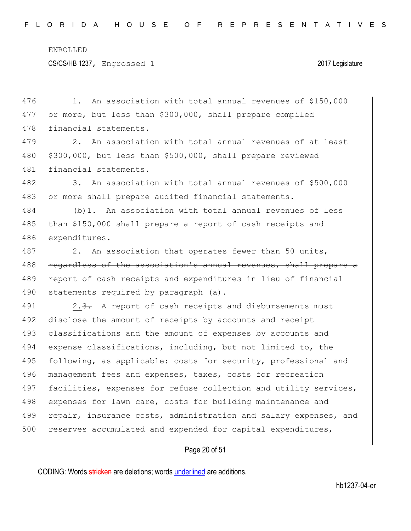CS/CS/HB 1237, Engrossed 1 2017 Legislature

476 1. An association with total annual revenues of \$150,000 477 or more, but less than \$300,000, shall prepare compiled 478 financial statements. 479 2. An association with total annual revenues of at least 480 \$300,000, but less than \$500,000, shall prepare reviewed 481 financial statements. 482 3. An association with total annual revenues of \$500,000 483 or more shall prepare audited financial statements. 484 (b)1. An association with total annual revenues of less 485 than \$150,000 shall prepare a report of cash receipts and 486 expenditures. 487 2. An association that operates fewer than 50 units, 488 regardless of the association's annual revenues, shall prepare a 489 report of cash receipts and expenditures in lieu of financial 490 statements required by paragraph  $(a)$ . 491 2.3. A report of cash receipts and disbursements must 492 disclose the amount of receipts by accounts and receipt 493 classifications and the amount of expenses by accounts and 494 expense classifications, including, but not limited to, the 495 following, as applicable: costs for security, professional and 496 management fees and expenses, taxes, costs for recreation 497 facilities, expenses for refuse collection and utility services, 498 expenses for lawn care, costs for building maintenance and 499 repair, insurance costs, administration and salary expenses, and 500 reserves accumulated and expended for capital expenditures,

### Page 20 of 51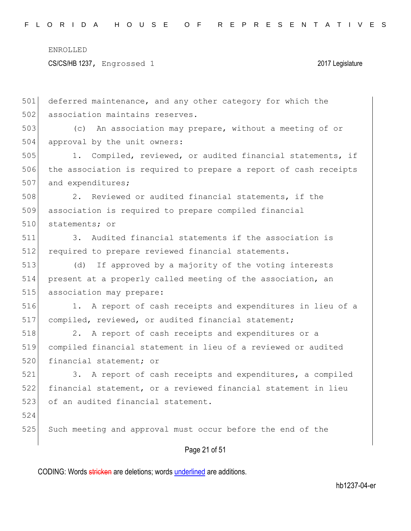CS/CS/HB 1237, Engrossed 1 2017 Legislature

Page 21 of 51 501 deferred maintenance, and any other category for which the 502 association maintains reserves. 503 (c) An association may prepare, without a meeting of or 504 approval by the unit owners: 505 1. Compiled, reviewed, or audited financial statements, if 506 the association is required to prepare a report of cash receipts 507 and expenditures; 508 2. Reviewed or audited financial statements, if the 509 association is required to prepare compiled financial 510 statements; or 511 3. Audited financial statements if the association is 512 required to prepare reviewed financial statements. 513 (d) If approved by a majority of the voting interests 514 present at a properly called meeting of the association, an 515 association may prepare: 516 1. A report of cash receipts and expenditures in lieu of a 517 compiled, reviewed, or audited financial statement; 518 2. A report of cash receipts and expenditures or a 519 compiled financial statement in lieu of a reviewed or audited 520 financial statement; or 521 3. A report of cash receipts and expenditures, a compiled 522 financial statement, or a reviewed financial statement in lieu 523 of an audited financial statement. 524 525 Such meeting and approval must occur before the end of the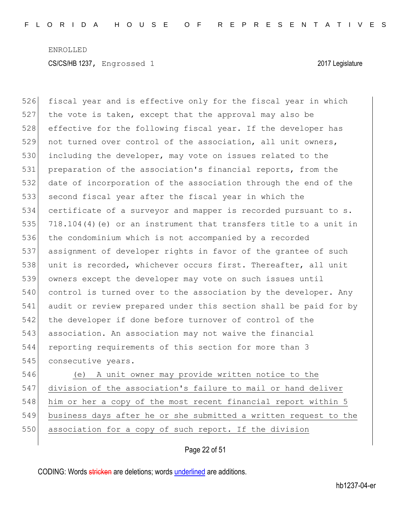526 fiscal year and is effective only for the fiscal year in which 527 the vote is taken, except that the approval may also be 528 effective for the following fiscal year. If the developer has 529 not turned over control of the association, all unit owners, 530 including the developer, may vote on issues related to the 531 preparation of the association's financial reports, from the 532 date of incorporation of the association through the end of the 533 second fiscal year after the fiscal year in which the 534 certificate of a surveyor and mapper is recorded pursuant to s. 535 718.104(4)(e) or an instrument that transfers title to a unit in 536 the condominium which is not accompanied by a recorded 537 assignment of developer rights in favor of the grantee of such 538 unit is recorded, whichever occurs first. Thereafter, all unit 539 owners except the developer may vote on such issues until 540 control is turned over to the association by the developer. Any 541 audit or review prepared under this section shall be paid for by 542 the developer if done before turnover of control of the 543 association. An association may not waive the financial 544 reporting requirements of this section for more than 3 545 consecutive years. 546 (e) A unit owner may provide written notice to the

547 division of the association's failure to mail or hand deliver 548 him or her a copy of the most recent financial report within 5 549 business days after he or she submitted a written request to the 550 association for a copy of such report. If the division

### Page 22 of 51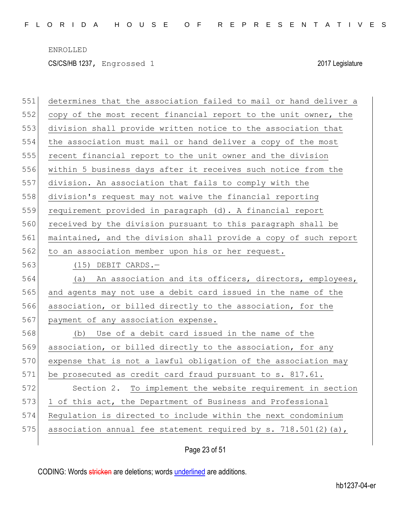| 551 | determines that the association failed to mail or hand deliver a |
|-----|------------------------------------------------------------------|
| 552 | copy of the most recent financial report to the unit owner, the  |
| 553 | division shall provide written notice to the association that    |
| 554 | the association must mail or hand deliver a copy of the most     |
| 555 | recent financial report to the unit owner and the division       |
| 556 | within 5 business days after it receives such notice from the    |
| 557 | division. An association that fails to comply with the           |
| 558 | division's request may not waive the financial reporting         |
| 559 | requirement provided in paragraph (d). A financial report        |
| 560 | received by the division pursuant to this paragraph shall be     |
| 561 | maintained, and the division shall provide a copy of such report |
| 562 | to an association member upon his or her request.                |
| 563 | $(15)$ DEBIT CARDS.-                                             |
| 564 | (a) An association and its officers, directors, employees,       |
| 565 | and agents may not use a debit card issued in the name of the    |
| 566 | association, or billed directly to the association, for the      |
| 567 | payment of any association expense.                              |
| 568 | (b) Use of a debit card issued in the name of the                |
| 569 | association, or billed directly to the association, for any      |
| 570 | expense that is not a lawful obligation of the association may   |
| 571 | be prosecuted as credit card fraud pursuant to s. 817.61.        |
| 572 | Section 2. To implement the website requirement in section       |
| 573 | 1 of this act, the Department of Business and Professional       |
| 574 | Regulation is directed to include within the next condominium    |
|     |                                                                  |
| 575 | association annual fee statement required by s. 718.501(2)(a),   |

## Page 23 of 51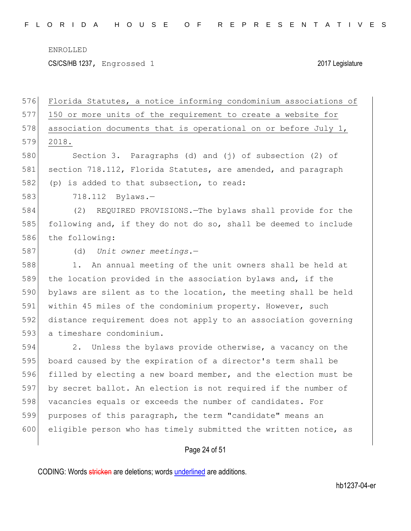CS/CS/HB 1237, Engrossed 1 2017 Legislature

 Florida Statutes, a notice informing condominium associations of 150 or more units of the requirement to create a website for 578 association documents that is operational on or before July 1, 2018. Section 3. Paragraphs (d) and (j) of subsection (2) of 581 section 718.112, Florida Statutes, are amended, and paragraph 582 (p) is added to that subsection, to read: 718.112 Bylaws.— (2) REQUIRED PROVISIONS.—The bylaws shall provide for the following and, if they do not do so, shall be deemed to include the following: (d) *Unit owner meetings*.— 588 1. An annual meeting of the unit owners shall be held at the location provided in the association bylaws and, if the bylaws are silent as to the location, the meeting shall be held within 45 miles of the condominium property. However, such distance requirement does not apply to an association governing 593 a timeshare condominium. 2. Unless the bylaws provide otherwise, a vacancy on the board caused by the expiration of a director's term shall be filled by electing a new board member, and the election must be by secret ballot. An election is not required if the number of 598 vacancies equals or exceeds the number of candidates. For purposes of this paragraph, the term "candidate" means an eligible person who has timely submitted the written notice, as

#### Page 24 of 51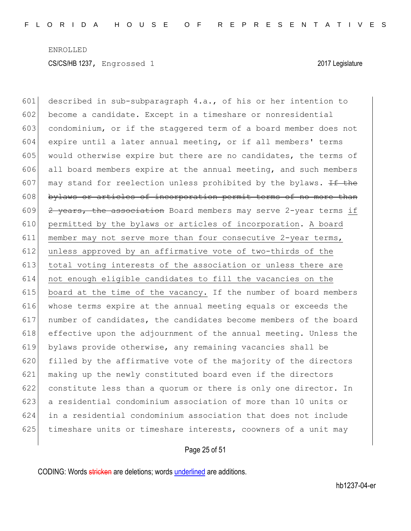described in sub-subparagraph 4.a., of his or her intention to become a candidate. Except in a timeshare or nonresidential condominium, or if the staggered term of a board member does not expire until a later annual meeting, or if all members' terms 605 would otherwise expire but there are no candidates, the terms of all board members expire at the annual meeting, and such members 607 may stand for reelection unless prohibited by the bylaws.  $H$  the 608 bylaws or articles of incorporation permit terms of no more than  $\left|$  2 years, the association Board members may serve 2-year terms if permitted by the bylaws or articles of incorporation. A board member may not serve more than four consecutive 2-year terms, unless approved by an affirmative vote of two-thirds of the total voting interests of the association or unless there are not enough eligible candidates to fill the vacancies on the 615 board at the time of the vacancy. If the number of board members whose terms expire at the annual meeting equals or exceeds the 617 | number of candidates, the candidates become members of the board effective upon the adjournment of the annual meeting. Unless the bylaws provide otherwise, any remaining vacancies shall be filled by the affirmative vote of the majority of the directors making up the newly constituted board even if the directors constitute less than a quorum or there is only one director. In a residential condominium association of more than 10 units or in a residential condominium association that does not include 625 timeshare units or timeshare interests, coowners of a unit may

#### Page 25 of 51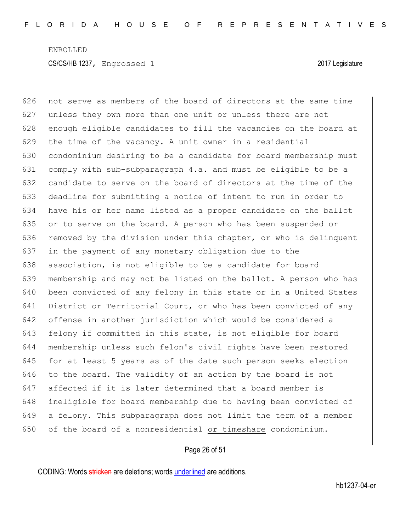626 not serve as members of the board of directors at the same time 627 unless they own more than one unit or unless there are not 628 enough eligible candidates to fill the vacancies on the board at the time of the vacancy. A unit owner in a residential condominium desiring to be a candidate for board membership must comply with sub-subparagraph 4.a. and must be eligible to be a candidate to serve on the board of directors at the time of the deadline for submitting a notice of intent to run in order to have his or her name listed as a proper candidate on the ballot or to serve on the board. A person who has been suspended or 636 removed by the division under this chapter, or who is delinquent in the payment of any monetary obligation due to the 638 association, is not eligible to be a candidate for board membership and may not be listed on the ballot. A person who has been convicted of any felony in this state or in a United States 641 District or Territorial Court, or who has been convicted of any offense in another jurisdiction which would be considered a 643 felony if committed in this state, is not eligible for board membership unless such felon's civil rights have been restored 645 for at least 5 years as of the date such person seeks election to the board. The validity of an action by the board is not affected if it is later determined that a board member is ineligible for board membership due to having been convicted of a felony. This subparagraph does not limit the term of a member 650 of the board of a nonresidential or timeshare condominium.

#### Page 26 of 51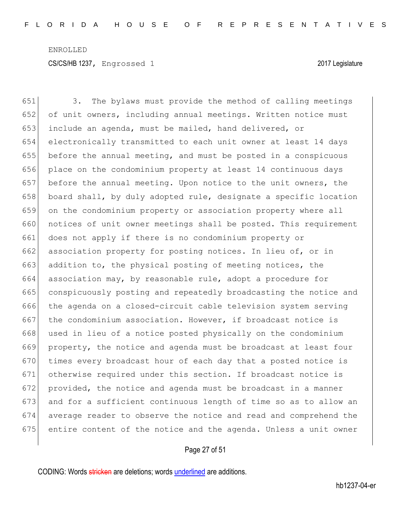3. The bylaws must provide the method of calling meetings of unit owners, including annual meetings. Written notice must include an agenda, must be mailed, hand delivered, or electronically transmitted to each unit owner at least 14 days before the annual meeting, and must be posted in a conspicuous place on the condominium property at least 14 continuous days 657 before the annual meeting. Upon notice to the unit owners, the 658 board shall, by duly adopted rule, designate a specific location on the condominium property or association property where all 660 notices of unit owner meetings shall be posted. This requirement does not apply if there is no condominium property or 662 association property for posting notices. In lieu of, or in 663 addition to, the physical posting of meeting notices, the association may, by reasonable rule, adopt a procedure for conspicuously posting and repeatedly broadcasting the notice and 666 the agenda on a closed-circuit cable television system serving 667 the condominium association. However, if broadcast notice is 668 used in lieu of a notice posted physically on the condominium property, the notice and agenda must be broadcast at least four times every broadcast hour of each day that a posted notice is otherwise required under this section. If broadcast notice is provided, the notice and agenda must be broadcast in a manner 673 and for a sufficient continuous length of time so as to allow an average reader to observe the notice and read and comprehend the entire content of the notice and the agenda. Unless a unit owner

#### Page 27 of 51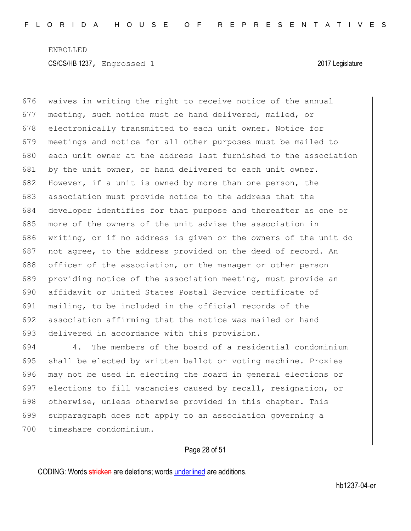676 waives in writing the right to receive notice of the annual 677 meeting, such notice must be hand delivered, mailed, or 678 electronically transmitted to each unit owner. Notice for 679 meetings and notice for all other purposes must be mailed to 680 each unit owner at the address last furnished to the association 681 by the unit owner, or hand delivered to each unit owner. 682 However, if a unit is owned by more than one person, the 683 association must provide notice to the address that the 684 developer identifies for that purpose and thereafter as one or 685 more of the owners of the unit advise the association in 686 writing, or if no address is given or the owners of the unit do 687 not agree, to the address provided on the deed of record. An 688 officer of the association, or the manager or other person 689 providing notice of the association meeting, must provide an 690 affidavit or United States Postal Service certificate of 691 mailing, to be included in the official records of the 692 association affirming that the notice was mailed or hand 693 delivered in accordance with this provision.

 4. The members of the board of a residential condominium 695 shall be elected by written ballot or voting machine. Proxies may not be used in electing the board in general elections or elections to fill vacancies caused by recall, resignation, or 698 otherwise, unless otherwise provided in this chapter. This subparagraph does not apply to an association governing a timeshare condominium.

### Page 28 of 51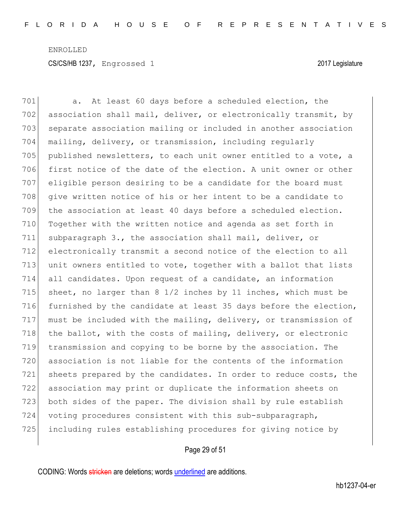701 a. At least 60 days before a scheduled election, the 702 association shall mail, deliver, or electronically transmit, by 703 separate association mailing or included in another association 704 mailing, delivery, or transmission, including regularly 705 published newsletters, to each unit owner entitled to a vote, a 706 first notice of the date of the election. A unit owner or other 707 eligible person desiring to be a candidate for the board must 708 give written notice of his or her intent to be a candidate to 709 the association at least 40 days before a scheduled election. 710 Together with the written notice and agenda as set forth in 711 subparagraph 3., the association shall mail, deliver, or 712 electronically transmit a second notice of the election to all 713 unit owners entitled to vote, together with a ballot that lists 714 all candidates. Upon request of a candidate, an information 715 sheet, no larger than 8 1/2 inches by 11 inches, which must be 716 furnished by the candidate at least 35 days before the election, 717 must be included with the mailing, delivery, or transmission of 718 the ballot, with the costs of mailing, delivery, or electronic 719 transmission and copying to be borne by the association. The 720 association is not liable for the contents of the information 721 sheets prepared by the candidates. In order to reduce costs, the 722 association may print or duplicate the information sheets on 723 both sides of the paper. The division shall by rule establish 724 voting procedures consistent with this sub-subparagraph, 725 including rules establishing procedures for giving notice by

### Page 29 of 51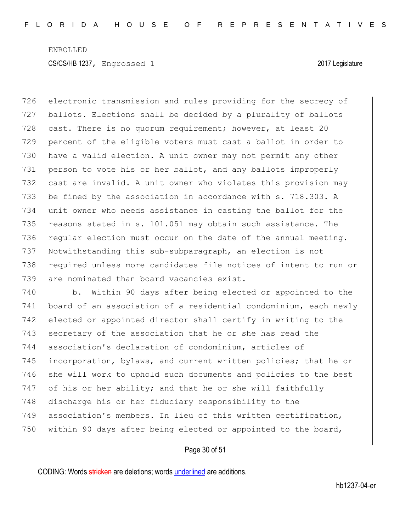726 electronic transmission and rules providing for the secrecy of 727 ballots. Elections shall be decided by a plurality of ballots 728 cast. There is no quorum requirement; however, at least 20 729 percent of the eligible voters must cast a ballot in order to 730 have a valid election. A unit owner may not permit any other 731 person to vote his or her ballot, and any ballots improperly 732 cast are invalid. A unit owner who violates this provision may 733 be fined by the association in accordance with s. 718.303. A 734 unit owner who needs assistance in casting the ballot for the 735 reasons stated in s. 101.051 may obtain such assistance. The 736 regular election must occur on the date of the annual meeting. 737 Notwithstanding this sub-subparagraph, an election is not 738 required unless more candidates file notices of intent to run or 739 are nominated than board vacancies exist.

740 b. Within 90 days after being elected or appointed to the 741 board of an association of a residential condominium, each newly 742 elected or appointed director shall certify in writing to the 743 secretary of the association that he or she has read the 744 association's declaration of condominium, articles of 745 incorporation, bylaws, and current written policies; that he or 746 she will work to uphold such documents and policies to the best  $747$  of his or her ability; and that he or she will faithfully 748 discharge his or her fiduciary responsibility to the 749 association's members. In lieu of this written certification, 750 within 90 days after being elected or appointed to the board,

#### Page 30 of 51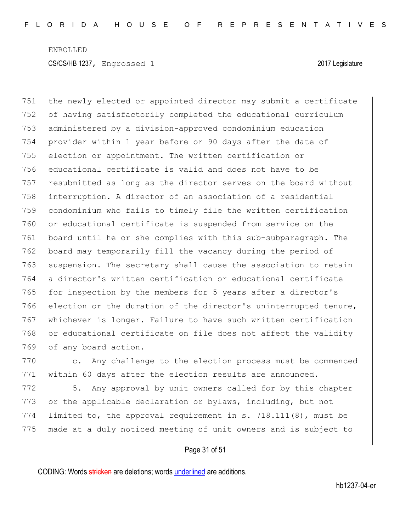the newly elected or appointed director may submit a certificate of having satisfactorily completed the educational curriculum administered by a division-approved condominium education provider within 1 year before or 90 days after the date of election or appointment. The written certification or educational certificate is valid and does not have to be 757 resubmitted as long as the director serves on the board without interruption. A director of an association of a residential condominium who fails to timely file the written certification or educational certificate is suspended from service on the board until he or she complies with this sub-subparagraph. The board may temporarily fill the vacancy during the period of 763 suspension. The secretary shall cause the association to retain a director's written certification or educational certificate 765 for inspection by the members for 5 years after a director's election or the duration of the director's uninterrupted tenure, whichever is longer. Failure to have such written certification 768 or educational certificate on file does not affect the validity 769 of any board action.

770 c. Any challenge to the election process must be commenced 771 within 60 days after the election results are announced.

772 5. Any approval by unit owners called for by this chapter 773 or the applicable declaration or bylaws, including, but not 774 limited to, the approval requirement in s. 718.111(8), must be 775 made at a duly noticed meeting of unit owners and is subject to

#### Page 31 of 51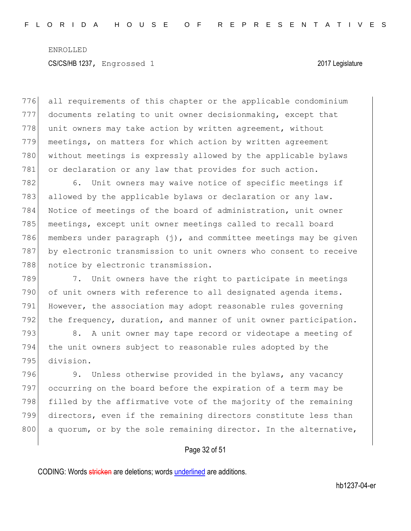776 all requirements of this chapter or the applicable condominium 777 documents relating to unit owner decisionmaking, except that 778 unit owners may take action by written agreement, without 779 meetings, on matters for which action by written agreement 780 without meetings is expressly allowed by the applicable bylaws 781 or declaration or any law that provides for such action.

782 6. Unit owners may waive notice of specific meetings if 783 allowed by the applicable bylaws or declaration or any law. 784 Notice of meetings of the board of administration, unit owner 785 meetings, except unit owner meetings called to recall board 786 members under paragraph (j), and committee meetings may be given 787 by electronic transmission to unit owners who consent to receive 788 notice by electronic transmission.

789 7. Unit owners have the right to participate in meetings 790 of unit owners with reference to all designated agenda items. 791 However, the association may adopt reasonable rules governing 792 the frequency, duration, and manner of unit owner participation.

793 8. A unit owner may tape record or videotape a meeting of 794 the unit owners subject to reasonable rules adopted by the 795 division.

796 9. Unless otherwise provided in the bylaws, any vacancy 797 occurring on the board before the expiration of a term may be 798 filled by the affirmative vote of the majority of the remaining 799 directors, even if the remaining directors constitute less than 800 a quorum, or by the sole remaining director. In the alternative,

#### Page 32 of 51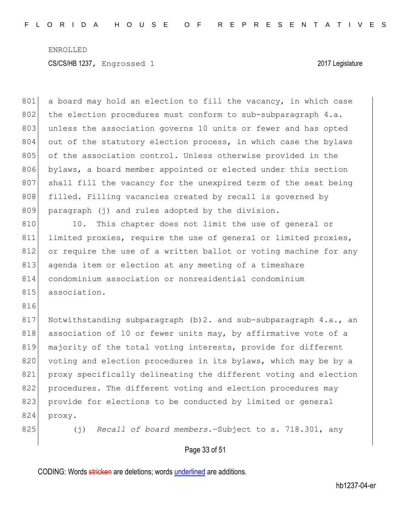801 a board may hold an election to fill the vacancy, in which case 802 the election procedures must conform to sub-subparagraph  $4.a.$ 803 unless the association governs 10 units or fewer and has opted 804 out of the statutory election process, in which case the bylaws 805 of the association control. Unless otherwise provided in the 806 bylaws, a board member appointed or elected under this section 807 shall fill the vacancy for the unexpired term of the seat being 808 filled. Filling vacancies created by recall is governed by 809 paragraph (j) and rules adopted by the division. 810 10. This chapter does not limit the use of general or 811 limited proxies, require the use of general or limited proxies, 812 or require the use of a written ballot or voting machine for any 813 agenda item or election at any meeting of a timeshare 814 condominium association or nonresidential condominium 815 association. 816 817 Notwithstanding subparagraph (b)2. and sub-subparagraph 4.a., an 818 association of 10 or fewer units may, by affirmative vote of a 819 majority of the total voting interests, provide for different 820 voting and election procedures in its bylaws, which may be by a 821 proxy specifically delineating the different voting and election 822 procedures. The different voting and election procedures may 823 provide for elections to be conducted by limited or general 824 proxy. 825 (j) *Recall of board members*.—Subject to s. 718.301, any

### Page 33 of 51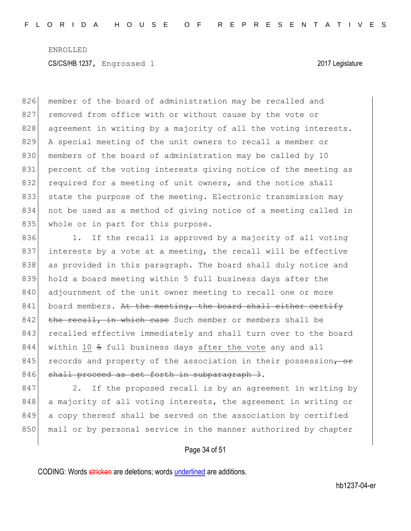826 member of the board of administration may be recalled and 827 removed from office with or without cause by the vote or 828 agreement in writing by a majority of all the voting interests. 829 A special meeting of the unit owners to recall a member or 830 members of the board of administration may be called by 10 831 percent of the voting interests giving notice of the meeting as 832 required for a meeting of unit owners, and the notice shall 833 state the purpose of the meeting. Electronic transmission may 834 not be used as a method of giving notice of a meeting called in 835 whole or in part for this purpose.

836 1. If the recall is approved by a majority of all voting 837 interests by a vote at a meeting, the recall will be effective 838 as provided in this paragraph. The board shall duly notice and 839 hold a board meeting within 5 full business days after the 840 adjournment of the unit owner meeting to recall one or more  $841$  board members. At the meeting, the board shall either certify  $842$  the recall, in which case Such member or members shall be 843 recalled effective immediately and shall turn over to the board 844 within 10 5 full business days after the vote any and all 845 records and property of the association in their possession, or 846 shall proceed as set forth in subparagraph 3.

847 2. If the proposed recall is by an agreement in writing by 848 a majority of all voting interests, the agreement in writing or 849 a copy thereof shall be served on the association by certified 850 mail or by personal service in the manner authorized by chapter

#### Page 34 of 51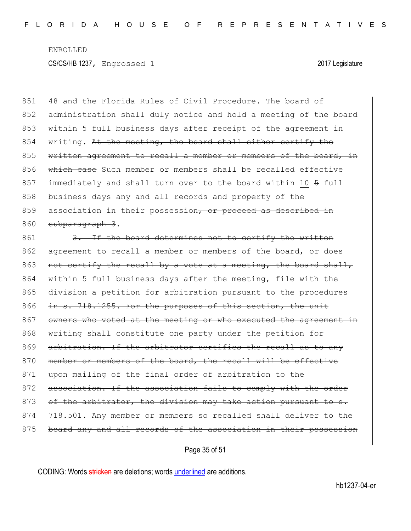851 48 and the Florida Rules of Civil Procedure. The board of 852 administration shall duly notice and hold a meeting of the board 853 within 5 full business days after receipt of the agreement in  $854$  writing. At the meeting, the board shall either certify the 855 written agreement to recall a member or members of the board, in 856 which case Such member or members shall be recalled effective 857 immediately and shall turn over to the board within 10 5 full 858 business days any and all records and property of the  $859$  association in their possession, or proceed as described in 860 subparagraph 3.

861 3. If the board determines not to certify the written 862 agreement to recall a member or members of the board, or does 863 not certify the recall by a vote at a meeting, the board shall, 864 within 5 full business days after the meeting, file with the 865 division a petition for arbitration pursuant to the procedures 866 in s. 718.1255. For the purposes of this section, the unit 867 owners who voted at the meeting or who executed the agreement in 868 writing shall constitute one party under the petition for 869 arbitration. If the arbitrator certifies the recall as to any 870 member or members of the board, the recall will be effective 871 upon mailing of the final order of arbitration to the 872 association. If the association fails to comply with the order 873 of the arbitrator, the division may take action pursuant to s. 874 718.501. Any member or members so recalled shall deliver to the 875 board any and all records of the association in their possession

Page 35 of 51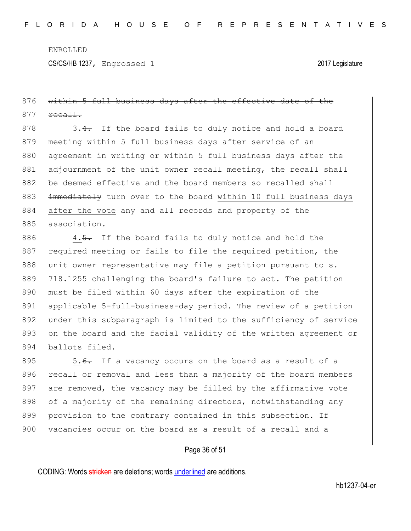## 876 within 5 full business days after the effective date of the  $877$  recall.

 $878$  3.4. If the board fails to duly notice and hold a board 879 meeting within 5 full business days after service of an 880 agreement in writing or within 5 full business days after the 881 adjournment of the unit owner recall meeting, the recall shall 882 be deemed effective and the board members so recalled shall 883 immediately turn over to the board within 10 full business days 884 after the vote any and all records and property of the 885 association.

886 4.5. If the board fails to duly notice and hold the 887 required meeting or fails to file the required petition, the 888 unit owner representative may file a petition pursuant to s. 889 718.1255 challenging the board's failure to act. The petition 890 must be filed within 60 days after the expiration of the 891 applicable 5-full-business-day period. The review of a petition 892 under this subparagraph is limited to the sufficiency of service 893 on the board and the facial validity of the written agreement or 894 ballots filed.

895  $\vert$  5.<del>6.</del> If a vacancy occurs on the board as a result of a 896 recall or removal and less than a majority of the board members 897 are removed, the vacancy may be filled by the affirmative vote 898 of a majority of the remaining directors, notwithstanding any 899 provision to the contrary contained in this subsection. If 900 vacancies occur on the board as a result of a recall and a

#### Page 36 of 51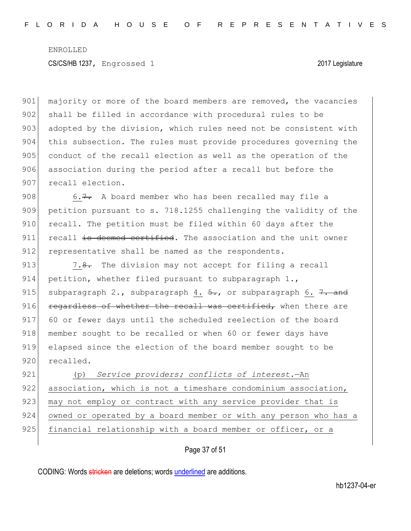901 majority or more of the board members are removed, the vacancies 902 shall be filled in accordance with procedural rules to be 903 adopted by the division, which rules need not be consistent with 904 this subsection. The rules must provide procedures governing the 905 conduct of the recall election as well as the operation of the 906 association during the period after a recall but before the 907 recall election.

908 6.7. A board member who has been recalled may file a 909 petition pursuant to s. 718.1255 challenging the validity of the 910 recall. The petition must be filed within 60 days after the  $911$  recall is deemed certified. The association and the unit owner 912 representative shall be named as the respondents.

913 7.8. The division may not accept for filing a recall 914 petition, whether filed pursuant to subparagraph 1., 915 subparagraph 2., subparagraph 4.  $\frac{5}{10}$ , or subparagraph 6.  $\frac{7}{100}$ .  $916$  regardless of whether the recall was certified, when there are 917 60 or fewer days until the scheduled reelection of the board 918 member sought to be recalled or when 60 or fewer days have 919 elapsed since the election of the board member sought to be 920 recalled.

921 (p) *Service providers; conflicts of interest*.—An 922 association, which is not a timeshare condominium association, 923 may not employ or contract with any service provider that is 924 owned or operated by a board member or with any person who has a 925 financial relationship with a board member or officer, or a

### Page 37 of 51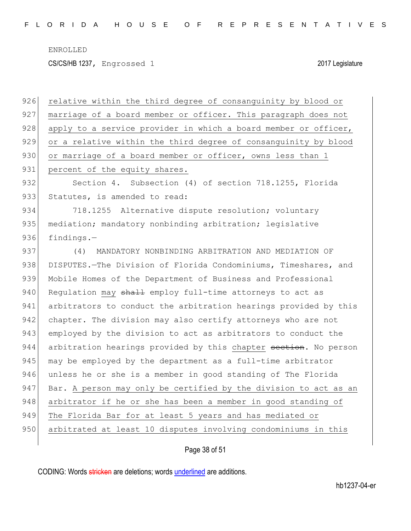CS/CS/HB 1237, Engrossed 1 2017 Legislature

926 relative within the third degree of consanguinity by blood or 927 marriage of a board member or officer. This paragraph does not 928 apply to a service provider in which a board member or officer, 929 or a relative within the third degree of consanguinity by blood 930 or marriage of a board member or officer, owns less than 1 931 percent of the equity shares. 932 Section 4. Subsection (4) of section 718.1255, Florida 933 Statutes, is amended to read: 934 718.1255 Alternative dispute resolution; voluntary 935 mediation; mandatory nonbinding arbitration; legislative 936 findings.-937 (4) MANDATORY NONBINDING ARBITRATION AND MEDIATION OF 938 DISPUTES.—The Division of Florida Condominiums, Timeshares, and 939 Mobile Homes of the Department of Business and Professional 940 Requlation may  $shath$  employ full-time attorneys to act as 941 arbitrators to conduct the arbitration hearings provided by this 942 chapter. The division may also certify attorneys who are not 943 employed by the division to act as arbitrators to conduct the 944 arbitration hearings provided by this chapter section. No person 945 may be employed by the department as a full-time arbitrator 946 unless he or she is a member in good standing of The Florida 947 Bar. A person may only be certified by the division to act as an 948 arbitrator if he or she has been a member in good standing of 949 The Florida Bar for at least 5 years and has mediated or 950 arbitrated at least 10 disputes involving condominiums in this

Page 38 of 51

CODING: Words stricken are deletions; words underlined are additions.

hb1237-04-er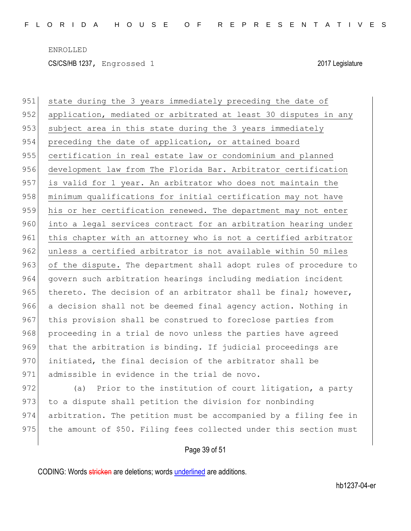951 state during the 3 years immediately preceding the date of 952 application, mediated or arbitrated at least 30 disputes in any 953 subject area in this state during the 3 years immediately 954 preceding the date of application, or attained board 955 certification in real estate law or condominium and planned 956 development law from The Florida Bar. Arbitrator certification 957 is valid for 1 year. An arbitrator who does not maintain the 958 minimum qualifications for initial certification may not have 959 his or her certification renewed. The department may not enter 960 into a legal services contract for an arbitration hearing under 961 this chapter with an attorney who is not a certified arbitrator 962 unless a certified arbitrator is not available within 50 miles 963 of the dispute. The department shall adopt rules of procedure to 964 govern such arbitration hearings including mediation incident 965 thereto. The decision of an arbitrator shall be final; however, 966 a decision shall not be deemed final agency action. Nothing in 967 this provision shall be construed to foreclose parties from 968 proceeding in a trial de novo unless the parties have agreed 969 that the arbitration is binding. If judicial proceedings are 970 initiated, the final decision of the arbitrator shall be 971 admissible in evidence in the trial de novo.

972 (a) Prior to the institution of court litigation, a party 973 to a dispute shall petition the division for nonbinding 974 arbitration. The petition must be accompanied by a filing fee in 975 the amount of \$50. Filing fees collected under this section must

#### Page 39 of 51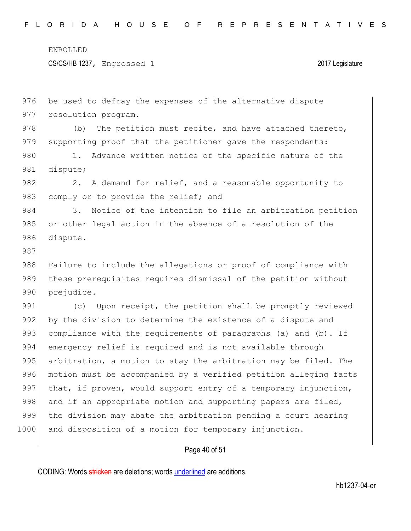CS/CS/HB 1237, Engrossed 1 2017 Legislature

976 be used to defray the expenses of the alternative dispute 977 resolution program. 978 (b) The petition must recite, and have attached thereto, 979 supporting proof that the petitioner gave the respondents: 980 1. Advance written notice of the specific nature of the 981 dispute; 982 2. A demand for relief, and a reasonable opportunity to 983 comply or to provide the relief; and 984 3. Notice of the intention to file an arbitration petition 985 or other legal action in the absence of a resolution of the 986 dispute. 987 988 Failure to include the allegations or proof of compliance with 989 these prerequisites requires dismissal of the petition without 990 prejudice. 991 (c) Upon receipt, the petition shall be promptly reviewed 992 by the division to determine the existence of a dispute and 993 compliance with the requirements of paragraphs (a) and (b). If 994 emergency relief is required and is not available through 995 arbitration, a motion to stay the arbitration may be filed. The 996 motion must be accompanied by a verified petition alleging facts 997 that, if proven, would support entry of a temporary injunction, 998 and if an appropriate motion and supporting papers are filed, 999 the division may abate the arbitration pending a court hearing 1000 and disposition of a motion for temporary injunction.

Page 40 of 51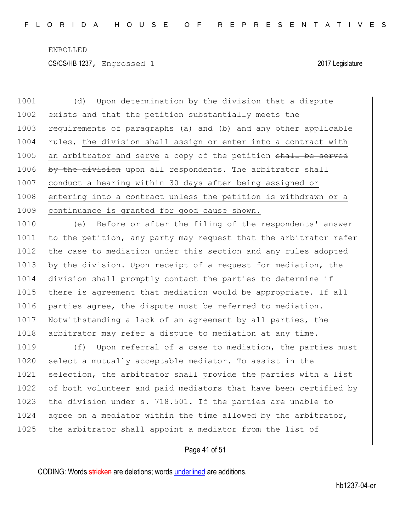1001 (d) Upon determination by the division that a dispute 1002 exists and that the petition substantially meets the 1003 requirements of paragraphs (a) and (b) and any other applicable 1004 rules, the division shall assign or enter into a contract with 1005 an arbitrator and serve a copy of the petition shall be served 1006 by the division upon all respondents. The arbitrator shall 1007 conduct a hearing within 30 days after being assigned or 1008 entering into a contract unless the petition is withdrawn or a 1009 continuance is granted for good cause shown.

1010 (e) Before or after the filing of the respondents' answer 1011 to the petition, any party may request that the arbitrator refer 1012 the case to mediation under this section and any rules adopted 1013 by the division. Upon receipt of a request for mediation, the 1014 division shall promptly contact the parties to determine if 1015 there is agreement that mediation would be appropriate. If all 1016 parties agree, the dispute must be referred to mediation. 1017 Notwithstanding a lack of an agreement by all parties, the 1018 arbitrator may refer a dispute to mediation at any time.

1019 (f) Upon referral of a case to mediation, the parties must 1020 select a mutually acceptable mediator. To assist in the 1021 selection, the arbitrator shall provide the parties with a list 1022 of both volunteer and paid mediators that have been certified by 1023 the division under s. 718.501. If the parties are unable to 1024 agree on a mediator within the time allowed by the arbitrator, 1025 the arbitrator shall appoint a mediator from the list of

### Page 41 of 51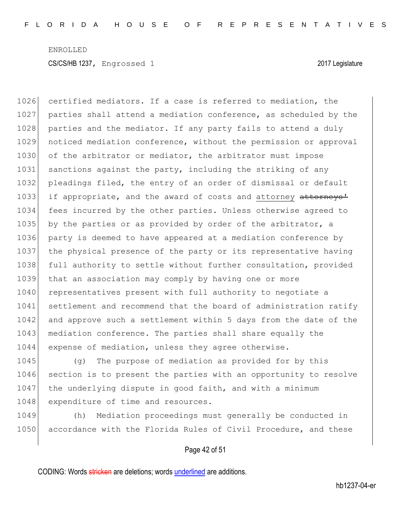1026 certified mediators. If a case is referred to mediation, the 1027 parties shall attend a mediation conference, as scheduled by the 1028 parties and the mediator. If any party fails to attend a duly 1029 noticed mediation conference, without the permission or approval 1030 of the arbitrator or mediator, the arbitrator must impose 1031 sanctions against the party, including the striking of any 1032 pleadings filed, the entry of an order of dismissal or default 1033 if appropriate, and the award of costs and attorney attorneys' 1034 fees incurred by the other parties. Unless otherwise agreed to 1035 by the parties or as provided by order of the arbitrator, a 1036 party is deemed to have appeared at a mediation conference by 1037 the physical presence of the party or its representative having 1038 full authority to settle without further consultation, provided 1039 that an association may comply by having one or more 1040 representatives present with full authority to negotiate a 1041 settlement and recommend that the board of administration ratify 1042 and approve such a settlement within 5 days from the date of the 1043 mediation conference. The parties shall share equally the 1044 expense of mediation, unless they agree otherwise.

1045 (g) The purpose of mediation as provided for by this 1046 section is to present the parties with an opportunity to resolve 1047 the underlying dispute in good faith, and with a minimum 1048 expenditure of time and resources.

1049 (h) Mediation proceedings must generally be conducted in 1050 accordance with the Florida Rules of Civil Procedure, and these

#### Page 42 of 51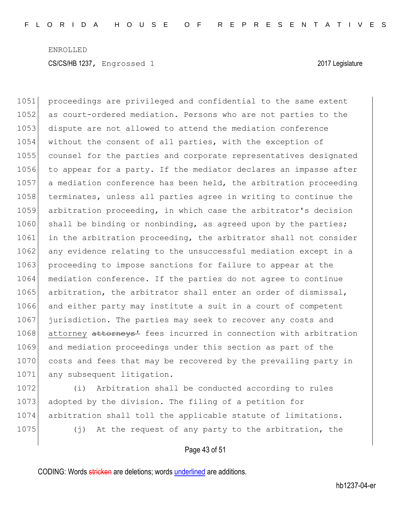1051 proceedings are privileged and confidential to the same extent 1052 as court-ordered mediation. Persons who are not parties to the 1053 dispute are not allowed to attend the mediation conference 1054 without the consent of all parties, with the exception of 1055 counsel for the parties and corporate representatives designated 1056 to appear for a party. If the mediator declares an impasse after 1057 a mediation conference has been held, the arbitration proceeding 1058 terminates, unless all parties agree in writing to continue the 1059 arbitration proceeding, in which case the arbitrator's decision  $1060$  shall be binding or nonbinding, as agreed upon by the parties; 1061 in the arbitration proceeding, the arbitrator shall not consider 1062 any evidence relating to the unsuccessful mediation except in a 1063 proceeding to impose sanctions for failure to appear at the 1064 mediation conference. If the parties do not agree to continue 1065 arbitration, the arbitrator shall enter an order of dismissal, 1066 and either party may institute a suit in a court of competent 1067 jurisdiction. The parties may seek to recover any costs and 1068 attorney attorneys<sup>1</sup> fees incurred in connection with arbitration 1069 and mediation proceedings under this section as part of the 1070 costs and fees that may be recovered by the prevailing party in 1071 any subsequent litigation.

 (i) Arbitration shall be conducted according to rules 1073 adopted by the division. The filing of a petition for arbitration shall toll the applicable statute of limitations. (j) At the request of any party to the arbitration, the

Page 43 of 51

CODING: Words stricken are deletions; words underlined are additions.

hb1237-04-er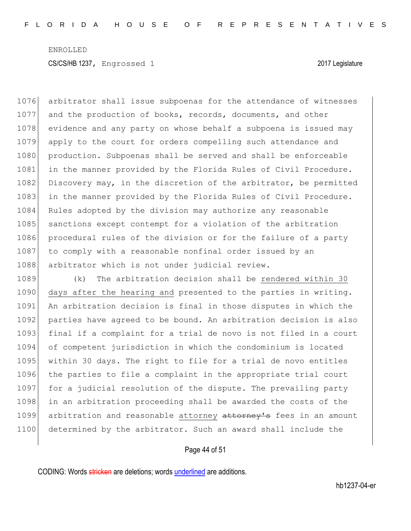1076 arbitrator shall issue subpoenas for the attendance of witnesses 1077 and the production of books, records, documents, and other 1078 evidence and any party on whose behalf a subpoena is issued may 1079 apply to the court for orders compelling such attendance and 1080 production. Subpoenas shall be served and shall be enforceable 1081 in the manner provided by the Florida Rules of Civil Procedure. 1082 Discovery may, in the discretion of the arbitrator, be permitted 1083 in the manner provided by the Florida Rules of Civil Procedure. 1084 Rules adopted by the division may authorize any reasonable 1085 sanctions except contempt for a violation of the arbitration 1086 procedural rules of the division or for the failure of a party 1087 to comply with a reasonable nonfinal order issued by an 1088 arbitrator which is not under judicial review.

1089 (k) The arbitration decision shall be rendered within 30 1090 days after the hearing and presented to the parties in writing. 1091 An arbitration decision is final in those disputes in which the 1092 parties have agreed to be bound. An arbitration decision is also 1093 final if a complaint for a trial de novo is not filed in a court 1094 of competent jurisdiction in which the condominium is located 1095 within 30 days. The right to file for a trial de novo entitles 1096 the parties to file a complaint in the appropriate trial court 1097 for a judicial resolution of the dispute. The prevailing party 1098 in an arbitration proceeding shall be awarded the costs of the 1099 arbitration and reasonable attorney attorney's fees in an amount 1100 determined by the arbitrator. Such an award shall include the

#### Page 44 of 51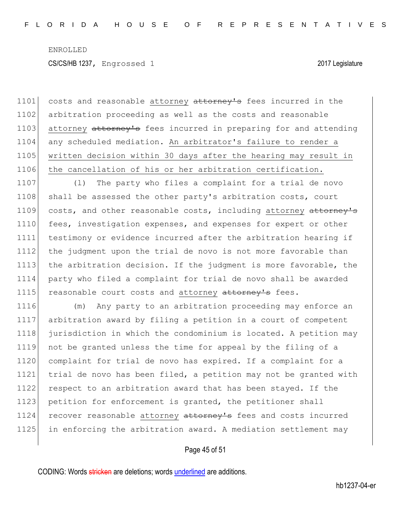1101 costs and reasonable attorney attorney's fees incurred in the 1102 arbitration proceeding as well as the costs and reasonable 1103 attorney attorney's fees incurred in preparing for and attending 1104 any scheduled mediation. An arbitrator's failure to render a 1105 written decision within 30 days after the hearing may result in 1106 the cancellation of his or her arbitration certification.

1107 (1) The party who files a complaint for a trial de novo 1108 shall be assessed the other party's arbitration costs, court 1109 costs, and other reasonable costs, including attorney attorney's 1110 fees, investigation expenses, and expenses for expert or other 1111 testimony or evidence incurred after the arbitration hearing if 1112 the judgment upon the trial de novo is not more favorable than 1113 the arbitration decision. If the judgment is more favorable, the 1114 party who filed a complaint for trial de novo shall be awarded 1115 reasonable court costs and attorney attorney's fees.

 (m) Any party to an arbitration proceeding may enforce an arbitration award by filing a petition in a court of competent jurisdiction in which the condominium is located. A petition may not be granted unless the time for appeal by the filing of a complaint for trial de novo has expired. If a complaint for a trial de novo has been filed, a petition may not be granted with respect to an arbitration award that has been stayed. If the 1123 petition for enforcement is granted, the petitioner shall 1124 recover reasonable attorney attorney's fees and costs incurred in enforcing the arbitration award. A mediation settlement may

#### Page 45 of 51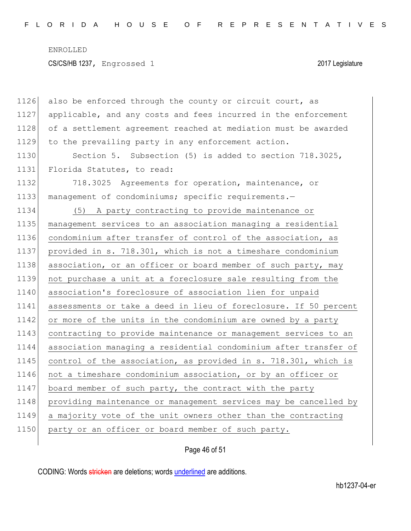CS/CS/HB 1237, Engrossed 1 2017 Legislature

| 1126 | also be enforced through the county or circuit court, as         |
|------|------------------------------------------------------------------|
| 1127 | applicable, and any costs and fees incurred in the enforcement   |
| 1128 | of a settlement agreement reached at mediation must be awarded   |
| 1129 | to the prevailing party in any enforcement action.               |
| 1130 | Section 5. Subsection (5) is added to section 718.3025,          |
| 1131 | Florida Statutes, to read:                                       |
| 1132 | 718.3025 Agreements for operation, maintenance, or               |
| 1133 | management of condominiums; specific requirements.-              |
| 1134 | (5) A party contracting to provide maintenance or                |
| 1135 | management services to an association managing a residential     |
| 1136 | condominium after transfer of control of the association, as     |
| 1137 | provided in s. 718.301, which is not a timeshare condominium     |
| 1138 | association, or an officer or board member of such party, may    |
| 1139 | not purchase a unit at a foreclosure sale resulting from the     |
| 1140 | association's foreclosure of association lien for unpaid         |
| 1141 | assessments or take a deed in lieu of foreclosure. If 50 percent |
| 1142 | or more of the units in the condominium are owned by a party     |
| 1143 | contracting to provide maintenance or management services to an  |
| 1144 | association managing a residential condominium after transfer of |
| 1145 | control of the association, as provided in s. 718.301, which is  |
| 1146 | not a timeshare condominium association, or by an officer or     |
| 1147 | board member of such party, the contract with the party          |
| 1148 | providing maintenance or management services may be cancelled by |
| 1149 | a majority vote of the unit owners other than the contracting    |
| 1150 | party or an officer or board member of such party.               |
|      |                                                                  |

Page 46 of 51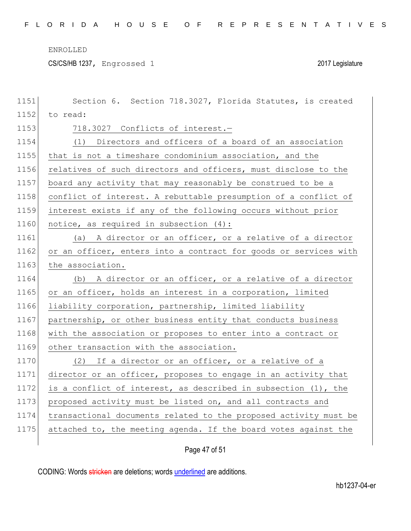CS/CS/HB 1237, Engrossed 1 2017 Legislature

| 1151 | Section 6. Section 718.3027, Florida Statutes, is created                                                                               |  |
|------|-----------------------------------------------------------------------------------------------------------------------------------------|--|
| 1152 | to read:                                                                                                                                |  |
| 1153 | 718.3027 Conflicts of interest.-                                                                                                        |  |
| 1154 | (1) Directors and officers of a board of an association                                                                                 |  |
| 1155 | that is not a timeshare condominium association, and the                                                                                |  |
| 1156 | relatives of such directors and officers, must disclose to the                                                                          |  |
| 1157 | board any activity that may reasonably be construed to be a                                                                             |  |
| 1158 | conflict of interest. A rebuttable presumption of a conflict of                                                                         |  |
| 1159 | interest exists if any of the following occurs without prior                                                                            |  |
| 1160 | notice, as required in subsection $(4)$ :                                                                                               |  |
| 1161 | (a) A director or an officer, or a relative of a director                                                                               |  |
| 1162 | or an officer, enters into a contract for goods or services with                                                                        |  |
| 1163 | the association.<br>(b) A director or an officer, or a relative of a director<br>If a director or an officer, or a relative of a<br>(2) |  |
| 1164 |                                                                                                                                         |  |
|      |                                                                                                                                         |  |
| 1165 | or an officer, holds an interest in a corporation, limited                                                                              |  |
| 1166 | liability corporation, partnership, limited liability                                                                                   |  |
| 1167 | partnership, or other business entity that conducts business                                                                            |  |
| 1168 | with the association or proposes to enter into a contract or                                                                            |  |
| 1169 | other transaction with the association.                                                                                                 |  |
| 1170 |                                                                                                                                         |  |
| 1171 | director or an officer, proposes to engage in an activity that                                                                          |  |
| 1172 | is a conflict of interest, as described in subsection (1), the                                                                          |  |
| 1173 | proposed activity must be listed on, and all contracts and                                                                              |  |
| 1174 | transactional documents related to the proposed activity must be                                                                        |  |
| 1175 | attached to, the meeting agenda. If the board votes against the                                                                         |  |

## Page 47 of 51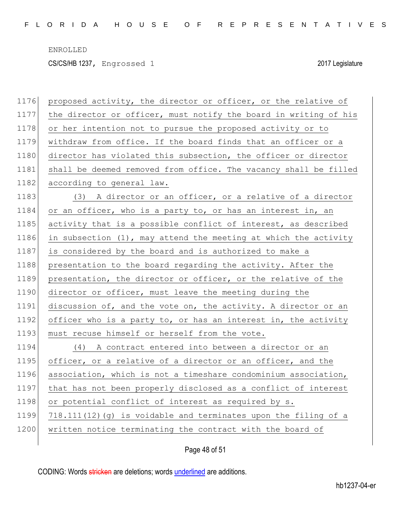CS/CS/HB 1237, Engrossed 1 2017 Legislature

| 1176 | proposed activity, the director or officer, or the relative of   |
|------|------------------------------------------------------------------|
| 1177 | the director or officer, must notify the board in writing of his |
| 1178 | or her intention not to pursue the proposed activity or to       |
| 1179 | withdraw from office. If the board finds that an officer or a    |
| 1180 | director has violated this subsection, the officer or director   |
| 1181 | shall be deemed removed from office. The vacancy shall be filled |
| 1182 | according to general law.                                        |
| 1183 | (3) A director or an officer, or a relative of a director        |
| 1184 | or an officer, who is a party to, or has an interest in, an      |
| 1185 | activity that is a possible conflict of interest, as described   |
| 1186 | in subsection (1), may attend the meeting at which the activity  |
| 1187 | is considered by the board and is authorized to make a           |
| 1188 | presentation to the board regarding the activity. After the      |
| 1189 | presentation, the director or officer, or the relative of the    |
| 1190 | director or officer, must leave the meeting during the           |
| 1191 | discussion of, and the vote on, the activity. A director or an   |
| 1192 | officer who is a party to, or has an interest in, the activity   |
| 1193 | must recuse himself or herself from the vote.                    |
| 1194 | (4) A contract entered into between a director or an             |
| 1195 | officer, or a relative of a director or an officer, and the      |
| 1196 | association, which is not a timeshare condominium association,   |
| 1197 | that has not been properly disclosed as a conflict of interest   |
| 1198 | or potential conflict of interest as required by s.              |
| 1199 | 718.111(12) (g) is voidable and terminates upon the filing of a  |
| 1200 | written notice terminating the contract with the board of        |
|      |                                                                  |

Page 48 of 51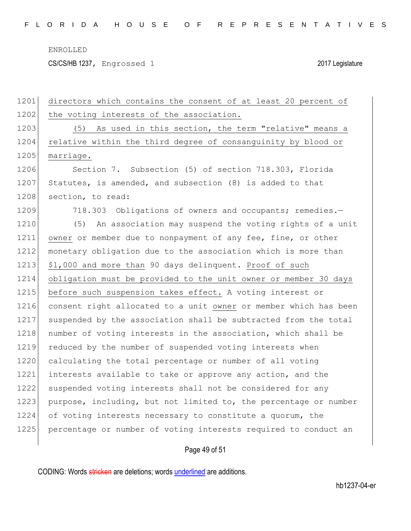CS/CS/HB 1237, Engrossed 1 2017 Legislature

1201 directors which contains the consent of at least 20 percent of 1202 the voting interests of the association. 1203 (5) As used in this section, the term "relative" means a 1204 relative within the third degree of consanguinity by blood or 1205 marriage. 1206 Section 7. Subsection (5) of section 718.303, Florida 1207 Statutes, is amended, and subsection (8) is added to that 1208 section, to read: 1209 718.303 Obligations of owners and occupants; remedies.-1210 (5) An association may suspend the voting rights of a unit 1211 owner or member due to nonpayment of any fee, fine, or other 1212 monetary obligation due to the association which is more than 1213 \$1,000 and more than 90 days delinquent. Proof of such 1214 obligation must be provided to the unit owner or member 30 days 1215 before such suspension takes effect. A voting interest or 1216 consent right allocated to a unit owner or member which has been 1217 suspended by the association shall be subtracted from the total 1218 number of voting interests in the association, which shall be 1219 reduced by the number of suspended voting interests when 1220 calculating the total percentage or number of all voting 1221 interests available to take or approve any action, and the 1222 suspended voting interests shall not be considered for any 1223 purpose, including, but not limited to, the percentage or number 1224 of voting interests necessary to constitute a quorum, the 1225 percentage or number of voting interests required to conduct an

#### Page 49 of 51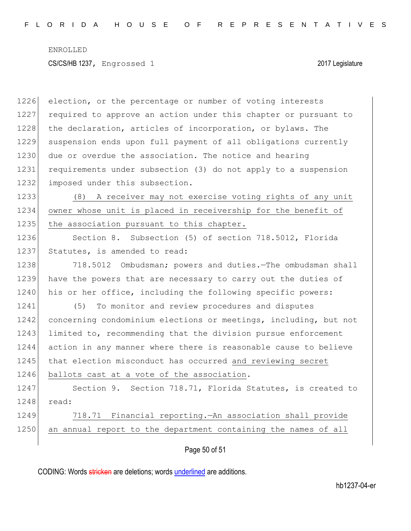1226 election, or the percentage or number of voting interests 1227 required to approve an action under this chapter or pursuant to 1228 the declaration, articles of incorporation, or bylaws. The 1229 suspension ends upon full payment of all obligations currently 1230 due or overdue the association. The notice and hearing 1231 requirements under subsection (3) do not apply to a suspension 1232 imposed under this subsection.

1233 (8) A receiver may not exercise voting rights of any unit 1234 owner whose unit is placed in receivership for the benefit of 1235 the association pursuant to this chapter.

1236 Section 8. Subsection (5) of section 718.5012, Florida 1237 Statutes, is amended to read:

1238 718.5012 Ombudsman; powers and duties.—The ombudsman shall 1239 have the powers that are necessary to carry out the duties of 1240 his or her office, including the following specific powers:

1241 (5) To monitor and review procedures and disputes 1242 concerning condominium elections or meetings, including, but not 1243 limited to, recommending that the division pursue enforcement 1244 action in any manner where there is reasonable cause to believe 1245 that election misconduct has occurred and reviewing secret 1246 ballots cast at a vote of the association.

1247 Section 9. Section 718.71, Florida Statutes, is created to 1248 read:

1249 718.71 Financial reporting.—An association shall provide 1250 an annual report to the department containing the names of all

Page 50 of 51

CODING: Words stricken are deletions; words underlined are additions.

hb1237-04-er